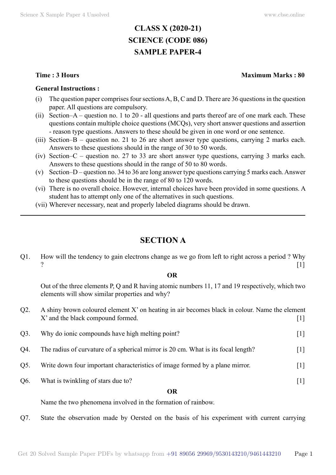# **CLASS X (2020-21) SCIENCE (CODE 086) SAMPLE PAPER-4**

### **General Instructions :**

- (i) The question paper comprises four sections A, B, C and D. There are 36 questions in the question paper. All questions are compulsory.
- (ii) Section–A question no. 1 to 20 all questions and parts thereof are of one mark each. These questions contain multiple choice questions (MCQs), very short answer questions and assertion - reason type questions. Answers to these should be given in one word or one sentence.
- (iii) Section–B question no. 21 to 26 are short answer type questions, carrying 2 marks each. Answers to these questions should in the range of 30 to 50 words.
- (iv) Section–C question no. 27 to 33 are short answer type questions, carrying 3 marks each. Answers to these questions should in the range of 50 to 80 words.
- (v) Section–D question no. 34 to 36 are long answer type questions carrying 5 marks each. Answer to these questions should be in the range of 80 to 120 words.
- (vi) There is no overall choice. However, internal choices have been provided in some questions. A student has to attempt only one of the alternatives in such questions.
- (vii) Wherever necessary, neat and properly labeled diagrams should be drawn.

# **Section A**

Q1. How will the tendency to gain electrons change as we go from left to right across a period ? Why ?  $[1]$ 

## **O**

Out of the three elements P, Q and R having atomic numbers 11, 17 and 19 respectively, which two elements will show similar properties and why?

- $Q2.$  A shiny brown coloured element X' on heating in air becomes black in colour. Name the element X' and the black compound formed. [1]
- Q3. Why do ionic compounds have high melting point? [1]
- Q4. The radius of curvature of a spherical mirror is 20 cm. What is its focal length? [1]
- Q5. Write down four important characteristics of image formed by a plane mirror. [1]
- Q6. What is twinkling of stars due to? [1]

#### **O**

Name the two phenomena involved in the formation of rainbow.

Q7. State the observation made by Oersted on the basis of his experiment with current carrying

# **Time : 3 Hours Maximum Marks : 80**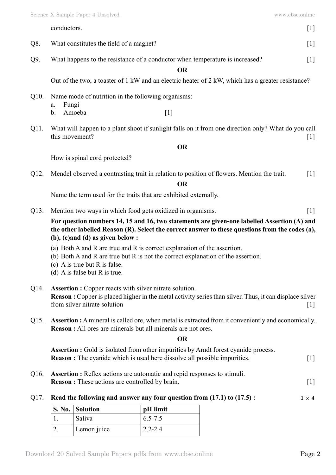| conductors. | 11 |
|-------------|----|
|-------------|----|

Q8. What constitutes the field of a magnet? [1]

Q9. What happens to the resistance of a conductor when temperature is increased? [1]

## **O**

Out of the two, a toaster of 1 kW and an electric heater of 2 kW, which has a greater resistance?

- Q10. Name mode of nutrition in the following organisms:
	- a. Fungi
	- b. Amoeba [1]
- Q11. What will happen to a plant shoot if sunlight falls on it from one direction only? What do you call this movement? [1]

# **O**

How is spinal cord protected?

Q12. Mendel observed a contrasting trait in relation to position of flowers. Mention the trait. [1]

# **O**

Name the term used for the traits that are exhibited externally.

Q13. Mention two ways in which food gets oxidized in organisms. [1]

**For question numbers 14, 15 and 16, two statements are given-one labelled Assertion (A) and the other labelled Reason (R). Select the correct answer to these questions from the codes (a), (b), (c)and (d) as given below :**

- (a) Both A and R are true and R is correct explanation of the assertion.
- (b) Both A and R are true but R is not the correct explanation of the assertion.
- (c) A is true but R is false.
- (d) A is false but R is true.

# Q14. **Assertion :** Copper reacts with silver nitrate solution. **Reason :** Copper is placed higher in the metal activity series than silver. Thus, it can displace silver from silver nitrate solution [1]

Q15. **Assertion :** A mineral is called ore, when metal is extracted from it conveniently and economically. **Reason :** All ores are minerals but all minerals are not ores.

 **O**

**Assertion :** Gold is isolated from other impurities by Arndt forest cyanide process. **Reason :** The cyanide which is used here dissolve all possible impurities. [1]

- Q16. **Assertion :** Reflex actions are automatic and repid responses to stimuli. **Reason :** These actions are controlled by brain. [1]
- Q17. **Read the following and answer any four question from (17.1) to (17.5):**  $1 \times 4$

| <b>S. No. Solution</b> | $\vert$ pH limit |
|------------------------|------------------|
| Saliva                 | $6.5 - 7.5$      |
| Lemon juice            | $2.2 - 2.4$      |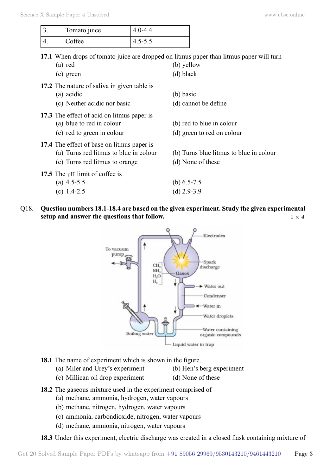| Tomato juice | $4.0 - 4.4$ |
|--------------|-------------|
| Coffee       | $4.5 - 5.5$ |

**17.1** When drops of tomato juice are dropped on litmus paper than litmus paper will turn

| (a) red                                                                                                                | (b) yellow                                                   |
|------------------------------------------------------------------------------------------------------------------------|--------------------------------------------------------------|
| (c) green                                                                                                              | $(d)$ black                                                  |
| 17.2 The nature of saliva in given table is<br>(a) acidic<br>(c) Neither acidic nor basic                              | (b) basic<br>(d) cannot be define                            |
| 17.3 The effect of acid on litmus paper is<br>(a) blue to red in colour<br>(c) red to green in colour                  | (b) red to blue in colour<br>(d) green to red on colour      |
| 17.4 The effect of base on litmus paper is<br>(a) Turns red litmus to blue in colour<br>(c) Turns red litmus to orange | (b) Turns blue litmus to blue in colour<br>(d) None of these |
| 17.5 The pH limit of coffee is<br>(a) $4.5 - 5.5$<br>(c) $1.4 - 2.5$                                                   | (b) $6.5 - 7.5$<br>(d) $2.9 - 3.9$                           |
|                                                                                                                        |                                                              |

Q18. **Question numbers 18.1-18.4 are based on the given experiment. Study the given experimental setup and answer the questions that follow.**  $1 \times 4$ 



- **18.1** The name of experiment which is shown in the figure.
	- (a) Miler and Urey's experiment (b) Hen's berg experiment
		-
	- (c) Millican oil drop experiment (d) None of these
- **18.2** The gaseous mixture used in the experiment comprised of
	- (a) methane, ammonia, hydrogen, water vapours
	- (b) methane, nitrogen, hydrogen, water vapours
	- (c) ammonia, carbondioxide, nitrogen, water vapours
	- (d) methane, ammonia, nitrogen, water vapours

**18.3** Under this experiment, electric discharge was created in a closed flask containing mixture of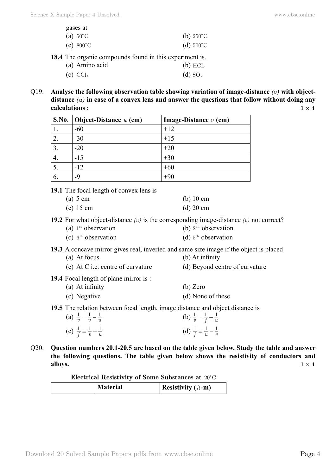| gases at                                           |                     |
|----------------------------------------------------|---------------------|
| (a) $50^{\circ}$ C                                 | (b) $250^{\circ}$ C |
| (c) $800^{\circ}$ C                                | (d) $500^{\circ}$ C |
| The organic compounds found in this experiment is. |                     |

**18.4** The organic compounds found in this experiment is.

| (a) Amino acid         | $(b)$ HCL             |
|------------------------|-----------------------|
| $(c)$ CCl <sub>4</sub> | $(d)$ SO <sub>2</sub> |

Q19. Analyse the following observation table showing variation of image-distance (v) with objectdistance  $(u)$  in case of a convex lens and answer the questions that follow without doing any **calculations :**  $1 \times 4$ 

|    | S.No.   Object-Distance $u$ (cm) | Image-Distance $v$ (cm) |
|----|----------------------------------|-------------------------|
|    | $-60$                            | $+12$                   |
|    | $-30$                            | $+15$                   |
| 3. | $-20$                            | $+20$                   |
|    | $-15$                            | $+30$                   |
|    | $-12$                            | $+60$                   |
|    | $-9$                             | $+90$                   |

**19.1** The focal length of convex lens is

| (a) $5 \text{ cm}$ | $(b)$ 10 cm |
|--------------------|-------------|
| $(c)$ 15 cm        | $(d)$ 20 cm |

- **19.2** For what object-distance  $(u)$  is the corresponding image-distance  $(v)$  not correct?<br>(a)  $1^{st}$  observation (b)  $2^{nd}$  observation
	- (a)  $1<sup>st</sup>$  observation
	- (c)  $6<sup>th</sup> observation$  (d)  $5<sup>th</sup> observation$

**19.3** A concave mirror gives real, inverted and same size image if the object is placed

- (a) At focus (b) At infinity
- (c) At C i.e. centre of curvature (d) Beyond centre of curvature
- **19.4** Focal length of plane mirror is :

| (a) At infinity | (b) Zero          |
|-----------------|-------------------|
| (c) Negative    | (d) None of these |

**19.5** The relation between focal length, image distance and object distance is

| (a) $\frac{1}{v} = \frac{1}{v} - \frac{1}{u}$ | (b) $\frac{1}{v} = \frac{1}{f} + \frac{1}{u}$ |
|-----------------------------------------------|-----------------------------------------------|
| (c) $\frac{1}{f} = \frac{1}{v} + \frac{1}{u}$ | (d) $\frac{1}{f} = \frac{1}{u} - \frac{1}{v}$ |

Q20. **Question numbers 20.1-20.5 are based on the table given below. Study the table and answer the following questions. The table given below shows the resistivity of conductors and alloys.**  $1 \times 4$ 

| Electrical Resistivity of Some Substances at 20°C |  |
|---------------------------------------------------|--|
|---------------------------------------------------|--|

| <b>Material</b> | Resistivity ( $\Omega$ -m) |
|-----------------|----------------------------|
|-----------------|----------------------------|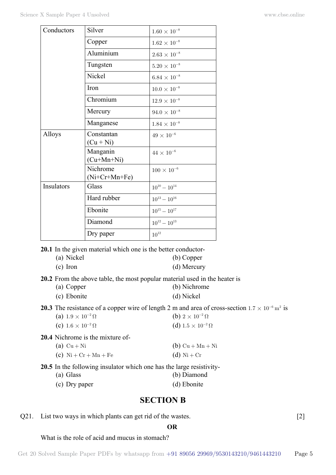| Conductors | Silver                   | $1.60 \times 10^{-8}$ |
|------------|--------------------------|-----------------------|
|            | Copper                   | $1.62 \times 10^{-8}$ |
|            | Aluminium                | $2.63 \times 10^{-8}$ |
|            | Tungsten                 | $5.20\times10^{-8}$   |
|            | Nickel                   | $6.84 \times 10^{-8}$ |
|            | Iron                     | $10.0 \times 10^{-8}$ |
|            | Chromium                 | $12.9 \times 10^{-8}$ |
|            | Mercury                  | $94.0\times10^{-8}$   |
|            | Manganese                | $1.84 \times 10^{-8}$ |
| Alloys     | Constantan               | $49 \times 10^{-6}$   |
|            | $(Cu + Ni)$              |                       |
|            | Manganin<br>$(Cu+Mn+Ni)$ | $44 \times 10^{-6}$   |
|            |                          |                       |
|            | Nichrome                 | $100 \times 10^{-6}$  |
|            | $(Ni+Cr+Mn+Fe)$          |                       |
| Insulators | Glass                    | $10^{10} - 10^{14}$   |
|            | Hard rubber              | $10^{13} - 10^{16}$   |
|            | Ebonite                  | $10^{15} - 10^{17}$   |
|            | Diamond                  | $10^{12} - 10^{13}$   |
|            | Dry paper                | $10^{\rm 12}$         |

**20.1** In the given material which one is the better conductor-

- (a) Nickel (b) Copper (c) Iron (d) Mercury
- **20.2** From the above table, the most popular material used in the heater is
	- (a) Copper (b) Nichrome (c) Ebonite (d) Nickel

**20.3** The resistance of a copper wire of length 2 m and area of cross-section  $1.7 \times 10^{-6}$  m<sup>2</sup> is (a)  $1.9 \times 10^{-2} \Omega$  (b)  $2 \times 10^{-2} \Omega$ 

(a)  $1.9 \times 10^{-2} \Omega$ (c)  $1.6 \times 10^{-2} \Omega$  (d)  $1.5 \times 10^{-2} \Omega$ 

**20.4** Nichrome is the mixture of-

| (a) $Cu + Ni$                                                               | (b) $Cu + Mn + Ni$ |
|-----------------------------------------------------------------------------|--------------------|
| (c) $\mathrm{Ni} + \mathrm{Cr} + \mathrm{Mn} + \mathrm{Fe}$                 | $(d)$ Ni + Cr      |
| <b>20.5</b> In the following insulator which one has the large resistivity- |                    |

- (a) Glass (b) Diamond
- (c) Dry paper (d) Ebonite

# **Section B**

Q21. List two ways in which plants can get rid of the wastes. [2]

### **O**

### What is the role of acid and mucus in stomach?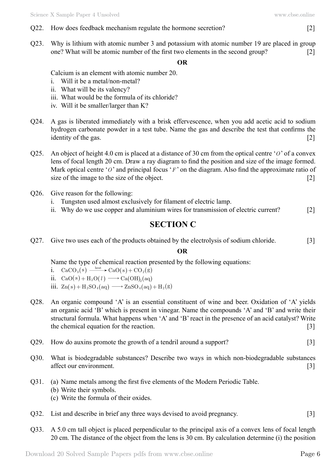- Q22. How does feedback mechanism regulate the hormone secretion? [2]
- Q23. Why is lithium with atomic number 3 and potassium with atomic number 19 are placed in group one? What will be atomic number of the first two elements in the second group? [2]

#### **O**

# Calcium is an element with atomic number 20.

- i. Will it be a metal/non-metal?
- ii. What will be its valency?
- iii. What would be the formula of its chloride?
- iv. Will it be smaller/larger than K?
- Q24. A gas is liberated immediately with a brisk effervescence, when you add acetic acid to sodium hydrogen carbonate powder in a test tube. Name the gas and describe the test that confirms the identity of the gas. [2]
- Q25. An object of height 4.0 cm is placed at a distance of 30 cm from the optical centre '*O*' of a convex lens of focal length 20 cm. Draw a ray diagram to find the position and size of the image formed. Mark optical centre '*O*' and principal focus '*F*' on the diagram. Also find the approximate ratio of size of the image to the size of the object. [2]
- Q26. Give reason for the following:
	- i. Tungsten used almost exclusively for filament of electric lamp.
	- ii. Why do we use copper and aluminium wires for transmission of electric current? [2]

# **Section C**

Q27. Give two uses each of the products obtained by the electrolysis of sodium chloride. [3]

# **O**

Name the type of chemical reaction presented by the following equations:

- i.  $CaCO_3(s) \xrightarrow{\text{heat}} CaO(s) + CO_2(g)$
- ii.  $CaO(s) + H_2 O(l) \longrightarrow Ca(OH)$ <sub>b</sub>(aq)
- iii.  $Zn(s) + H_2SO_4(aq) \longrightarrow ZnSO_4(aq) + H_2(g)$
- Q28. An organic compound 'A' is an essential constituent of wine and beer. Oxidation of 'A' yields an organic acid 'B' which is present in vinegar. Name the compounds 'A' and 'B' and write their structural formula. What happens when 'A' and 'B' react in the presence of an acid catalyst? Write the chemical equation for the reaction. [3]
- Q29. How do auxins promote the growth of a tendril around a support? [3]
- Q30. What is biodegradable substances? Describe two ways in which non-biodegradable substances affect our environment. [3]
- Q31. (a) Name metals among the first five elements of the Modern Periodic Table. (b) Write their symbols. (c) Write the formula of their oxides.
- Q32. List and describe in brief any three ways devised to avoid pregnancy. [3]
- Q33. A 5.0 cm tall object is placed perpendicular to the principal axis of a convex lens of focal length 20 cm. The distance of the object from the lens is 30 cm. By calculation determine (i) the position